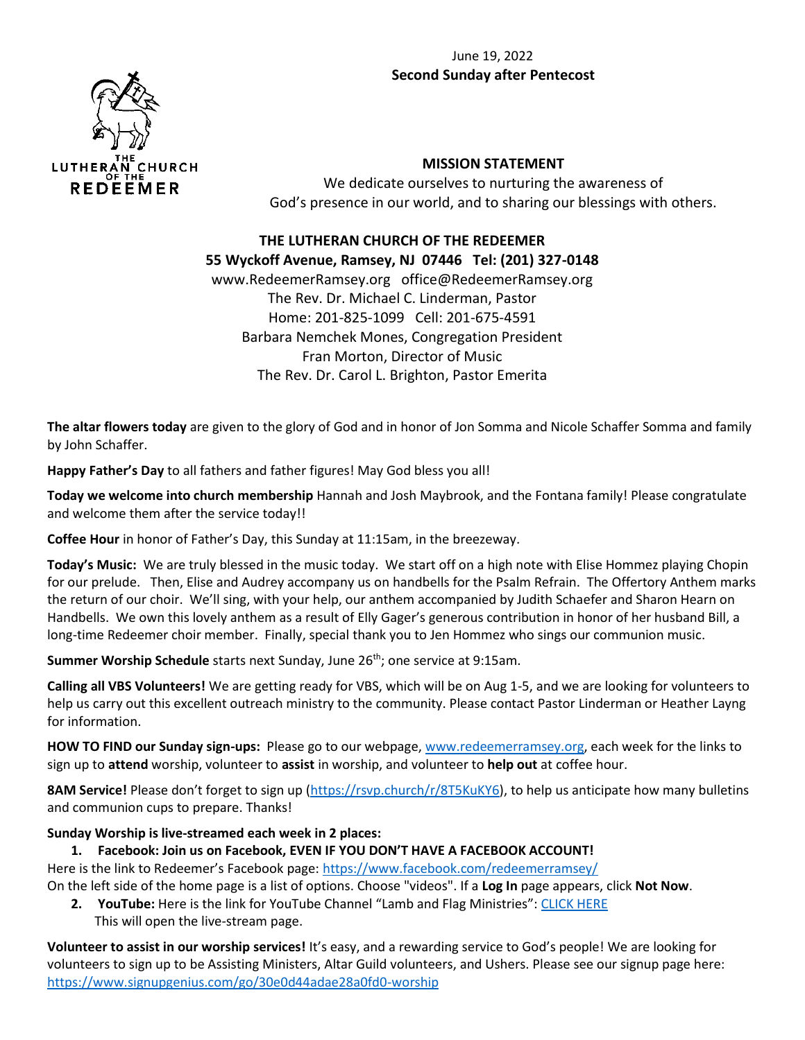#### June 19, 2022 **Second Sunday after Pentecost**



#### **MISSION STATEMENT**

We dedicate ourselves to nurturing the awareness of God's presence in our world, and to sharing our blessings with others.

# **THE LUTHERAN CHURCH OF THE REDEEMER 55 Wyckoff Avenue, Ramsey, NJ 07446 Tel: (201) 327-0148** www.RedeemerRamsey.org office@RedeemerRamsey.org

The Rev. Dr. Michael C. Linderman, Pastor Home: 201-825-1099 Cell: 201-675-4591 Barbara Nemchek Mones, Congregation President Fran Morton, Director of Music The Rev. Dr. Carol L. Brighton, Pastor Emerita

**The altar flowers today** are given to the glory of God and in honor of Jon Somma and Nicole Schaffer Somma and family by John Schaffer.

**Happy Father's Day** to all fathers and father figures! May God bless you all!

**Today we welcome into church membership** Hannah and Josh Maybrook, and the Fontana family! Please congratulate and welcome them after the service today!!

**Coffee Hour** in honor of Father's Day, this Sunday at 11:15am, in the breezeway.

**Today's Music:** We are truly blessed in the music today. We start off on a high note with Elise Hommez playing Chopin for our prelude. Then, Elise and Audrey accompany us on handbells for the Psalm Refrain. The Offertory Anthem marks the return of our choir. We'll sing, with your help, our anthem accompanied by Judith Schaefer and Sharon Hearn on Handbells. We own this lovely anthem as a result of Elly Gager's generous contribution in honor of her husband Bill, a long-time Redeemer choir member. Finally, special thank you to Jen Hommez who sings our communion music.

**Summer Worship Schedule** starts next Sunday, June 26<sup>th</sup>; one service at 9:15am.

**Calling all VBS Volunteers!** We are getting ready for VBS, which will be on Aug 1-5, and we are looking for volunteers to help us carry out this excellent outreach ministry to the community. Please contact Pastor Linderman or Heather Layng for information.

**HOW TO FIND our Sunday sign-ups:** Please go to our webpage[, www.redeemerramsey.org,](http://www.redeemerramsey.org/) each week for the links to sign up to **attend** worship, volunteer to **assist** in worship, and volunteer to **help out** at coffee hour.

**8AM Service!** Please don't forget to sign up ([https://rsvp.church/r/8T5KuKY6\)](https://rsvp.church/r/8T5KuKY6), to help us anticipate how many bulletins and communion cups to prepare. Thanks!

# **Sunday Worship is live-streamed each week in 2 places:**

# **1. Facebook: Join us on Facebook, EVEN IF YOU DON'T HAVE A FACEBOOK ACCOUNT!**

Here is the link to Redeemer's Facebook page: <https://www.facebook.com/redeemerramsey/> On the left side of the home page is a list of options. Choose "videos". If a **Log In** page appears, click **Not Now**.

**2. YouTube:** Here is the link for YouTube Channel "Lamb and Flag Ministries": [CLICK HERE](https://www.youtube.com/channel/UCiiBH0-xwQjHjGQBYBjwwzQ/live) This will open the live-stream page.

**Volunteer to assist in our worship services!** It's easy, and a rewarding service to God's people! We are looking for volunteers to sign up to be Assisting Ministers, Altar Guild volunteers, and Ushers. Please see our signup page here: <https://www.signupgenius.com/go/30e0d44adae28a0fd0-worship>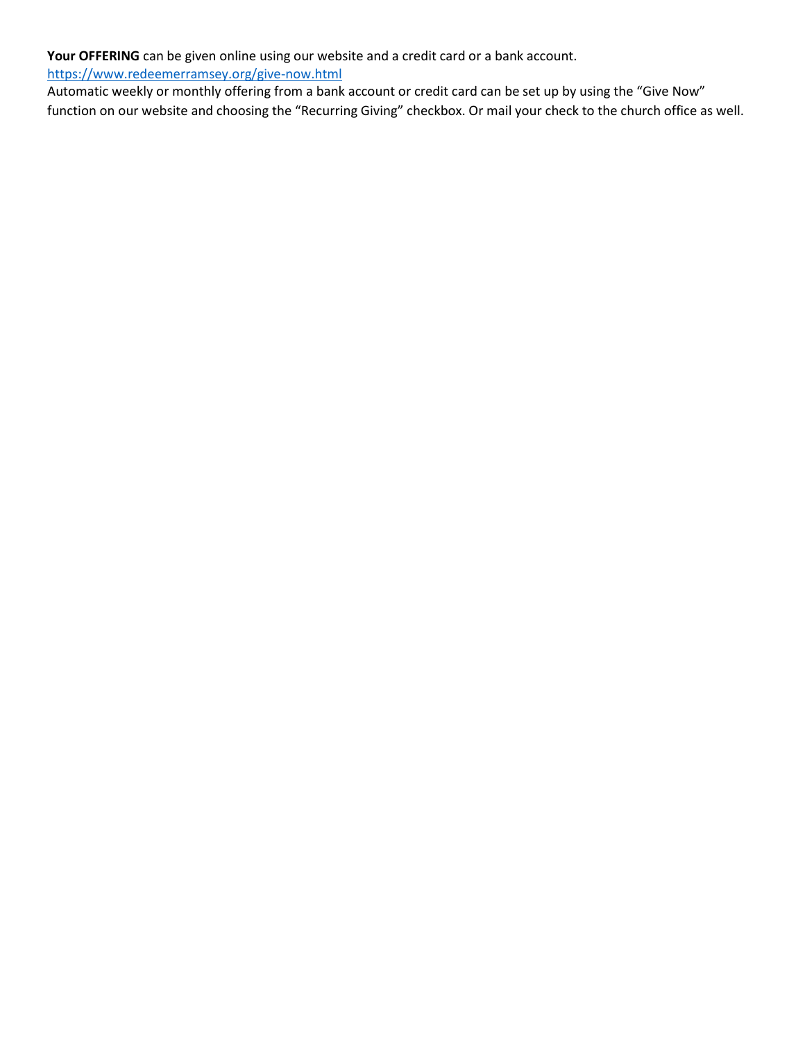**Your OFFERING** can be given online using our website and a credit card or a bank account.

<https://www.redeemerramsey.org/give-now.html>

Automatic weekly or monthly offering from a bank account or credit card can be set up by using the "Give Now" function on our website and choosing the "Recurring Giving" checkbox. Or mail your check to the church office as well.